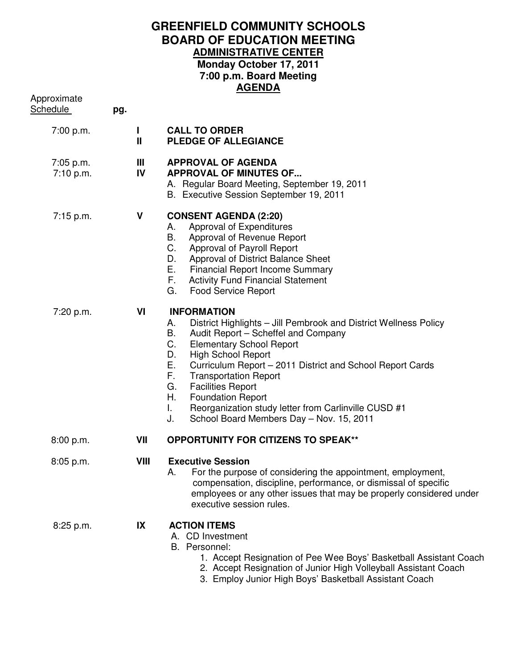## **GREENFIELD COMMUNITY SCHOOLS BOARD OF EDUCATION MEETING ADMINISTRATIVE CENTER Monday October 17, 2011 7:00 p.m. Board Meeting AGENDA**

| Approximate<br><u>Schedule</u> | pg.               |                                                                                                                                                                                                                                                                                                                                                                                                                                                                                                                    |
|--------------------------------|-------------------|--------------------------------------------------------------------------------------------------------------------------------------------------------------------------------------------------------------------------------------------------------------------------------------------------------------------------------------------------------------------------------------------------------------------------------------------------------------------------------------------------------------------|
| 7:00 p.m.                      | п<br>$\mathbf{I}$ | <b>CALL TO ORDER</b><br><b>PLEDGE OF ALLEGIANCE</b>                                                                                                                                                                                                                                                                                                                                                                                                                                                                |
| $7:05$ p.m.<br>7:10 p.m.       | Ш<br>IV           | <b>APPROVAL OF AGENDA</b><br><b>APPROVAL OF MINUTES OF</b><br>A. Regular Board Meeting, September 19, 2011<br>B. Executive Session September 19, 2011                                                                                                                                                                                                                                                                                                                                                              |
| $7:15$ p.m.                    | V                 | <b>CONSENT AGENDA (2:20)</b><br>Approval of Expenditures<br>А.<br>Approval of Revenue Report<br>В.<br>C.<br>Approval of Payroll Report<br>Approval of District Balance Sheet<br>D.<br>Е.<br><b>Financial Report Income Summary</b><br>F.,<br><b>Activity Fund Financial Statement</b><br>G.<br><b>Food Service Report</b>                                                                                                                                                                                          |
| 7:20 p.m.                      | VI                | <b>INFORMATION</b><br>District Highlights - Jill Pembrook and District Wellness Policy<br>А.<br>Audit Report - Scheffel and Company<br>В.<br><b>Elementary School Report</b><br>С.<br><b>High School Report</b><br>D.<br>Е.<br>Curriculum Report - 2011 District and School Report Cards<br>F.<br><b>Transportation Report</b><br>G.<br><b>Facilities Report</b><br>Η.<br><b>Foundation Report</b><br>Τ.<br>Reorganization study letter from Carlinville CUSD #1<br>J.<br>School Board Members Day - Nov. 15, 2011 |
| 8:00 p.m.                      | VII               | <b>OPPORTUNITY FOR CITIZENS TO SPEAK**</b>                                                                                                                                                                                                                                                                                                                                                                                                                                                                         |
| $8:05$ p.m.                    | VIII              | <b>Executive Session</b><br>A. For the purpose of considering the appointment, employment,<br>compensation, discipline, performance, or dismissal of specific<br>employees or any other issues that may be properly considered under<br>executive session rules.                                                                                                                                                                                                                                                   |
| 8:25 p.m.                      | IX                | <b>ACTION ITEMS</b><br>A. CD Investment<br>B. Personnel:<br>1. Accept Resignation of Pee Wee Boys' Basketball Assistant Coach<br>2. Accept Resignation of Junior High Volleyball Assistant Coach<br>3. Employ Junior High Boys' Basketball Assistant Coach                                                                                                                                                                                                                                                         |